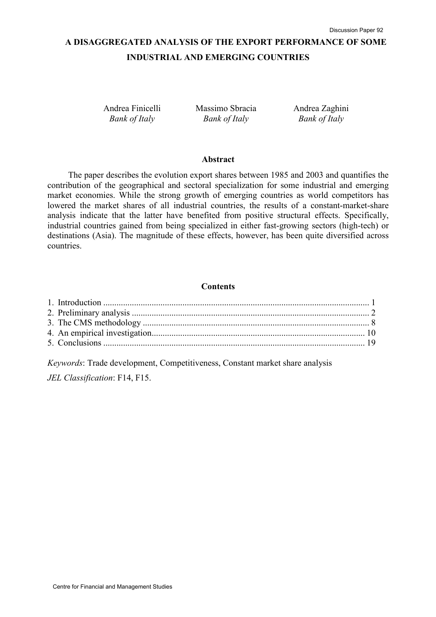# A DISAGGREGATED ANALYSIS OF THE EXPORT PERFORMANCE OF SOME INDUSTRIAL AND EMERGING COUNTRIES

Andrea Finicelli Bank of Italy

Massimo Sbracia Bank of Italy

Andrea Zaghini Bank of Italy

#### Abstract

The paper describes the evolution export shares between 1985 and 2003 and quantifies the contribution of the geographical and sectoral specialization for some industrial and emerging market economies. While the strong growth of emerging countries as world competitors has lowered the market shares of all industrial countries, the results of a constant-market-share analysis indicate that the latter have benefited from positive structural effects. Specifically, industrial countries gained from being specialized in either fast-growing sectors (high-tech) or destinations (Asia). The magnitude of these effects, however, has been quite diversified across countries.

## **Contents**

Keywords: Trade development, Competitiveness, Constant market share analysis JEL Classification: F14, F15.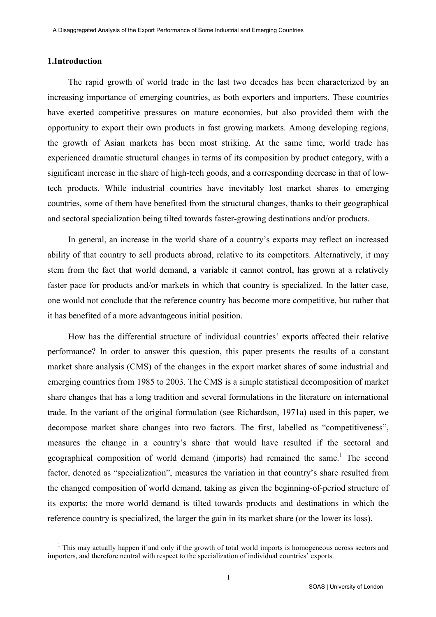## 1.Introduction

l

The rapid growth of world trade in the last two decades has been characterized by an increasing importance of emerging countries, as both exporters and importers. These countries have exerted competitive pressures on mature economies, but also provided them with the opportunity to export their own products in fast growing markets. Among developing regions, the growth of Asian markets has been most striking. At the same time, world trade has experienced dramatic structural changes in terms of its composition by product category, with a significant increase in the share of high-tech goods, and a corresponding decrease in that of lowtech products. While industrial countries have inevitably lost market shares to emerging countries, some of them have benefited from the structural changes, thanks to their geographical and sectoral specialization being tilted towards faster-growing destinations and/or products.

In general, an increase in the world share of a country's exports may reflect an increased ability of that country to sell products abroad, relative to its competitors. Alternatively, it may stem from the fact that world demand, a variable it cannot control, has grown at a relatively faster pace for products and/or markets in which that country is specialized. In the latter case, one would not conclude that the reference country has become more competitive, but rather that it has benefited of a more advantageous initial position.

How has the differential structure of individual countries' exports affected their relative performance? In order to answer this question, this paper presents the results of a constant market share analysis (CMS) of the changes in the export market shares of some industrial and emerging countries from 1985 to 2003. The CMS is a simple statistical decomposition of market share changes that has a long tradition and several formulations in the literature on international trade. In the variant of the original formulation (see Richardson, 1971a) used in this paper, we decompose market share changes into two factors. The first, labelled as "competitiveness", measures the change in a country's share that would have resulted if the sectoral and geographical composition of world demand (imports) had remained the same.<sup>1</sup> The second factor, denoted as "specialization", measures the variation in that country's share resulted from the changed composition of world demand, taking as given the beginning-of-period structure of its exports; the more world demand is tilted towards products and destinations in which the reference country is specialized, the larger the gain in its market share (or the lower its loss).

<sup>&</sup>lt;sup>1</sup> This may actually happen if and only if the growth of total world imports is homogeneous across sectors and importers, and therefore neutral with respect to the specialization of individual countries' exports.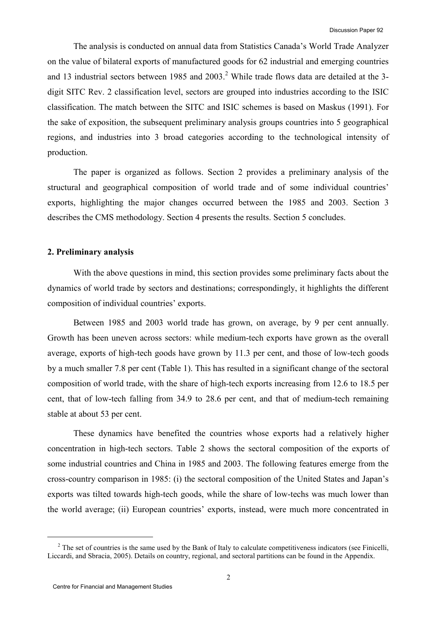The analysis is conducted on annual data from Statistics Canada's World Trade Analyzer on the value of bilateral exports of manufactured goods for 62 industrial and emerging countries and 13 industrial sectors between 1985 and  $2003$ <sup>2</sup>. While trade flows data are detailed at the 3digit SITC Rev. 2 classification level, sectors are grouped into industries according to the ISIC classification. The match between the SITC and ISIC schemes is based on Maskus (1991). For the sake of exposition, the subsequent preliminary analysis groups countries into 5 geographical regions, and industries into 3 broad categories according to the technological intensity of production.

The paper is organized as follows. Section 2 provides a preliminary analysis of the structural and geographical composition of world trade and of some individual countries' exports, highlighting the major changes occurred between the 1985 and 2003. Section 3 describes the CMS methodology. Section 4 presents the results. Section 5 concludes.

## 2. Preliminary analysis

With the above questions in mind, this section provides some preliminary facts about the dynamics of world trade by sectors and destinations; correspondingly, it highlights the different composition of individual countries' exports.

Between 1985 and 2003 world trade has grown, on average, by 9 per cent annually. Growth has been uneven across sectors: while medium-tech exports have grown as the overall average, exports of high-tech goods have grown by 11.3 per cent, and those of low-tech goods by a much smaller 7.8 per cent (Table 1). This has resulted in a significant change of the sectoral composition of world trade, with the share of high-tech exports increasing from 12.6 to 18.5 per cent, that of low-tech falling from 34.9 to 28.6 per cent, and that of medium-tech remaining stable at about 53 per cent.

These dynamics have benefited the countries whose exports had a relatively higher concentration in high-tech sectors. Table 2 shows the sectoral composition of the exports of some industrial countries and China in 1985 and 2003. The following features emerge from the cross-country comparison in 1985: (i) the sectoral composition of the United States and Japan's exports was tilted towards high-tech goods, while the share of low-techs was much lower than the world average; (ii) European countries' exports, instead, were much more concentrated in

l

 $2^2$  The set of countries is the same used by the Bank of Italy to calculate competitiveness indicators (see Finicelli, Liccardi, and Sbracia, 2005). Details on country, regional, and sectoral partitions can be found in the Appendix.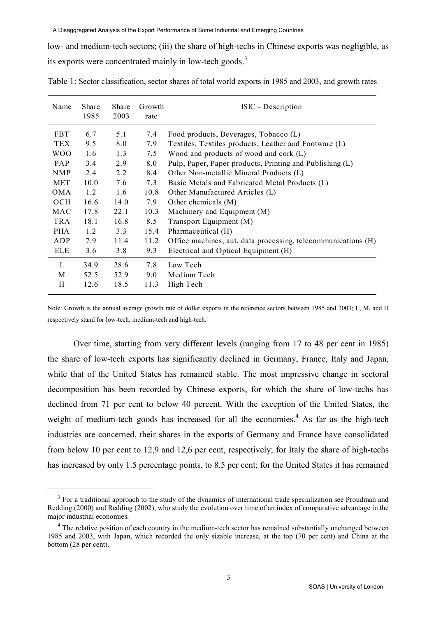low- and medium-tech sectors; (iii) the share of high-techs in Chinese exports was negligible, as its exports were concentrated mainly in low-tech goods.<sup>3</sup>

| Name       | Share<br>1985 | Share<br>2003 | Growth<br>rate | ISIC - Description                                            |
|------------|---------------|---------------|----------------|---------------------------------------------------------------|
| <b>FBT</b> | 6.7           | 5.1           | 7.4            | Food products, Beverages, Tobacco (L)                         |
| <b>TEX</b> | 9.5           | 8.0           | 7.9            | Textiles, Textiles products, Leather and Footware (L)         |
| <b>WOO</b> | 1.6           | 1.3           | 7.5            | Wood and products of wood and cork (L)                        |
| <b>PAP</b> | 3.4           | 2.9           | 8.0            | Pulp, Paper, Paper products, Printing and Publishing (L)      |
| <b>NMP</b> | 2.4           | 2.2           | 8.4            | Other Non-metallic Mineral Products (L)                       |
| <b>MET</b> | 10.0          | 7.6           | 7.3            | Basic Metals and Fabricated Metal Products (L)                |
| <b>OMA</b> | 1.2           | 1.6           | 10.8           | Other Manufactured Articles (L)                               |
| <b>OCH</b> | 16.6          | 14.0          | 7.9            | Other chemicals (M)                                           |
| MAC        | 17.8          | 22.1          | 10.3           | Machinery and Equipment (M)                                   |
| <b>TRA</b> | 18.1          | 16.8          | 8.5            | Transport Equipment (M)                                       |
| <b>PHA</b> | 1.2           | 3.3           | 15.4           | Pharmaceutical (H)                                            |
| ADP        | 7.9           | 11.4          | 11.2           | Office machines, aut. data processing, telecommunications (H) |
| <b>ELE</b> | 3.6           | 3.8           | 9.3            | Electrical and Optical Equipment (H)                          |
| L          | 34.9          | 28.6          | 7.8            | Low Tech                                                      |
| M          | 52.5          | 52.9          | 9.0            | Medium Tech                                                   |
| H          | 12.6          | 18.5          | 11.3           | High Tech                                                     |

Table 1: Sector classification, sector shares of total world exports in 1985 and 2003, and growth rates

Note: Growth is the annual average growth rate of dollar exports in the reference sectors between 1985 and 2003; L, M, and H respectively stand for low-tech, medium-tech and high-tech.

Over time, starting from very different levels (ranging from 17 to 48 per cent in 1985) the share of low-tech exports has significantly declined in Germany, France, Italy and Japan, while that of the United States has remained stable. The most impressive change in sectoral decomposition has been recorded by Chinese exports, for which the share of low-techs has declined from 71 per cent to below 40 percent. With the exception of the United States, the weight of medium-tech goods has increased for all the economies.<sup>4</sup> As far as the high-tech industries are concerned, their shares in the exports of Germany and France have consolidated from below 10 per cent to 12,9 and 12,6 per cent, respectively; for Italy the share of high-techs has increased by only 1.5 percentage points, to 8.5 per cent; for the United States it has remained

-

<sup>&</sup>lt;sup>3</sup> For a traditional approach to the study of the dynamics of international trade specialization see Proudman and Redding (2000) and Redding (2002), who study the evolution over time of an index of comparative advantage in the major industrial economies.

<sup>&</sup>lt;sup>4</sup> The relative position of each country in the medium-tech sector has remained substantially unchanged between 1985 and 2003, with Japan, which recorded the only sizable increase, at the top (70 per cent) and China at the bottom (28 per cent).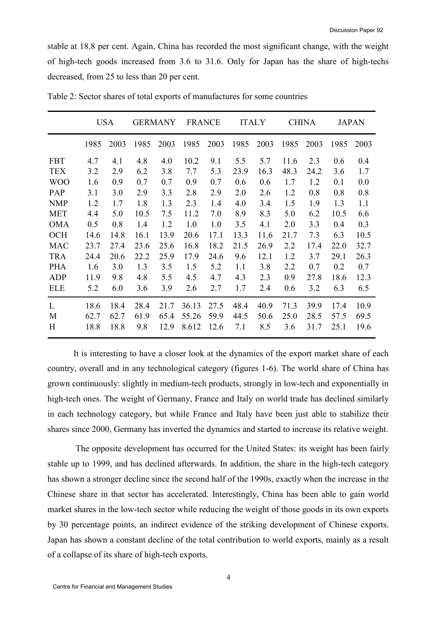stable at 18.8 per cent. Again, China has recorded the most significant change, with the weight of high-tech goods increased from 3.6 to 31.6. Only for Japan has the share of high-techs decreased, from 25 to less than 20 per cent.

|            | <b>USA</b> |      | <b>GERMANY</b> |      | <b>FRANCE</b> |      | <b>ITALY</b> |      | <b>CHINA</b> |      | <b>JAPAN</b> |      |
|------------|------------|------|----------------|------|---------------|------|--------------|------|--------------|------|--------------|------|
|            | 1985       | 2003 | 1985           | 2003 | 1985          | 2003 | 1985         | 2003 | 1985         | 2003 | 1985         | 2003 |
| <b>FBT</b> | 4.7        | 4.1  | 4.8            | 4.0  | 10.2          | 9.1  | 5.5          | 5.7  | 11.6         | 2.3  | 0.6          | 0.4  |
| <b>TEX</b> | 3.2        | 2.9  | 6.2            | 3.8  | 7.7           | 5.3  | 23.9         | 16.3 | 48.3         | 24.2 | 3.6          | 1.7  |
| <b>WOO</b> | 1.6        | 0.9  | 0.7            | 0.7  | 0.9           | 0.7  | 0.6          | 0.6  | 1.7          | 1.2  | 0.1          | 0.0  |
| PAP        | 3.1        | 3.0  | 2.9            | 3.3  | 2.8           | 2.9  | 2.0          | 2.6  | 1.2          | 0.8  | 0.8          | 0.8  |
| <b>NMP</b> | 1.2        | 1.7  | 1.8            | 1.3  | 2.3           | 1.4  | 4.0          | 3.4  | 1.5          | 1.9  | 1.3          | 1.1  |
| <b>MET</b> | 4.4        | 5.0  | 10.5           | 7.5  | 11.2          | 7.0  | 8.9          | 8.3  | 5.0          | 6.2  | 10.5         | 6.6  |
| <b>OMA</b> | 0.5        | 0.8  | 1.4            | 1.2  | 1.0           | 1.0  | 3.5          | 4.1  | 2.0          | 3.3  | 0.4          | 0.3  |
| <b>OCH</b> | 14.6       | 14.8 | 16.1           | 13.9 | 20.6          | 17.1 | 13.3         | 11.6 | 21.7         | 7.3  | 6.3          | 10.5 |
| <b>MAC</b> | 23.7       | 27.4 | 23.6           | 25.6 | 16.8          | 18.2 | 21.5         | 26.9 | 2.2          | 17.4 | 22.0         | 32.7 |
| <b>TRA</b> | 24.4       | 20.6 | 22.2           | 25.9 | 17.9          | 24.6 | 9.6          | 12.1 | 1.2          | 3.7  | 29.1         | 26.3 |
| <b>PHA</b> | 1.6        | 3.0  | 1.3            | 3.5  | 1.5           | 5.2  | 1.1          | 3.8  | 2.2          | 0.7  | 0.2          | 0.7  |
| <b>ADP</b> | 11.9       | 9.8  | 4.8            | 5.5  | 4.5           | 4.7  | 4.3          | 2.3  | 0.9          | 27.8 | 18.6         | 12.3 |
| <b>ELE</b> | 5.2        | 6.0  | 3.6            | 3.9  | 2.6           | 2.7  | 1.7          | 2.4  | 0.6          | 3.2  | 6.3          | 6.5  |
| L          | 18.6       | 18.4 | 28.4           | 21.7 | 36.13         | 27.5 | 48.4         | 40.9 | 71.3         | 39.9 | 17.4         | 10.9 |
| M          | 62.7       | 62.7 | 61.9           | 65.4 | 55.26         | 59.9 | 44.5         | 50.6 | 25.0         | 28.5 | 57.5         | 69.5 |
| H          | 18.8       | 18.8 | 9.8            | 12.9 | 8.612         | 12.6 | 7.1          | 8.5  | 3.6          | 31.7 | 25.1         | 19.6 |

Table 2: Sector shares of total exports of manufactures for some countries

It is interesting to have a closer look at the dynamics of the export market share of each country, overall and in any technological category (figures 1-6). The world share of China has grown continuously: slightly in medium-tech products, strongly in low-tech and exponentially in high-tech ones. The weight of Germany, France and Italy on world trade has declined similarly in each technology category, but while France and Italy have been just able to stabilize their shares since 2000, Germany has inverted the dynamics and started to increase its relative weight.

 The opposite development has occurred for the United States: its weight has been fairly stable up to 1999, and has declined afterwards. In addition, the share in the high-tech category has shown a stronger decline since the second half of the 1990s, exactly when the increase in the Chinese share in that sector has accelerated. Interestingly, China has been able to gain world market shares in the low-tech sector while reducing the weight of those goods in its own exports by 30 percentage points, an indirect evidence of the striking development of Chinese exports. Japan has shown a constant decline of the total contribution to world exports, mainly as a result of a collapse of its share of high-tech exports.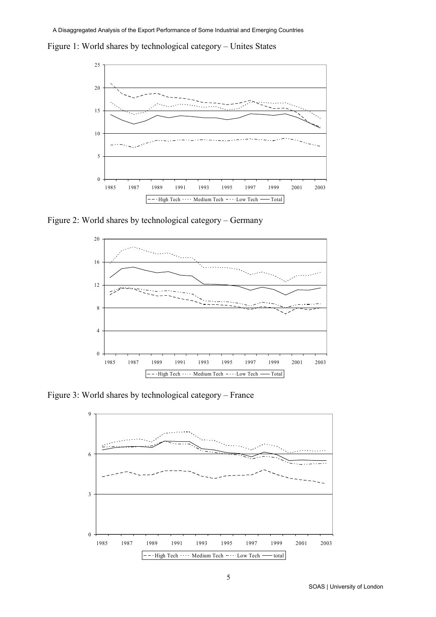Figure 1: World shares by technological category – Unites States



Figure 2: World shares by technological category – Germany



Figure 3: World shares by technological category – France

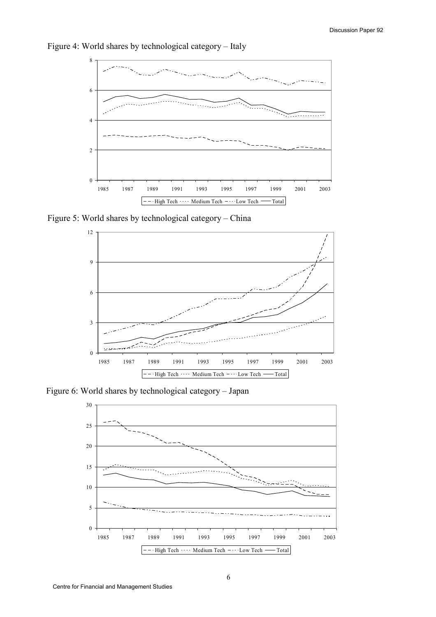

Figure 4: World shares by technological category – Italy

Figure 5: World shares by technological category – China



Figure 6: World shares by technological category – Japan

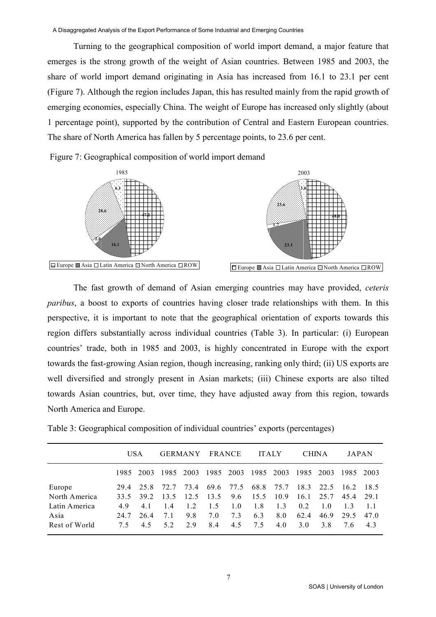Turning to the geographical composition of world import demand, a major feature that emerges is the strong growth of the weight of Asian countries. Between 1985 and 2003, the share of world import demand originating in Asia has increased from 16.1 to 23.1 per cent (Figure 7). Although the region includes Japan, this has resulted mainly from the rapid growth of emerging economies, especially China. The weight of Europe has increased only slightly (about 1 percentage point), supported by the contribution of Central and Eastern European countries. The share of North America has fallen by 5 percentage points, to 23.6 per cent.

Figure 7: Geographical composition of world import demand



The fast growth of demand of Asian emerging countries may have provided, ceteris paribus, a boost to exports of countries having closer trade relationships with them. In this perspective, it is important to note that the geographical orientation of exports towards this region differs substantially across individual countries (Table 3). In particular: (i) European countries' trade, both in 1985 and 2003, is highly concentrated in Europe with the export towards the fast-growing Asian region, though increasing, ranking only third; (ii) US exports are well diversified and strongly present in Asian markets; (iii) Chinese exports are also tilted towards Asian countries, but, over time, they have adjusted away from this region, towards North America and Europe.

|                                        | USA              |                   | <b>GERMANY</b>   |                 | <b>FRANCE</b>     |                     | <b>ITALY</b>      |                   | <b>CHINA</b>       |                    | JAPAN            |                  |
|----------------------------------------|------------------|-------------------|------------------|-----------------|-------------------|---------------------|-------------------|-------------------|--------------------|--------------------|------------------|------------------|
|                                        |                  | 1985 2003         |                  | 1985 2003       |                   | 1985 2003 1985 2003 |                   |                   | 1985 2003          |                    | 1985 2003        |                  |
| Europe<br>North America                | 29.4<br>33.5     | 25.8<br>39.2      | 72.7<br>13.5     | 73.4<br>12.5    | 13.5              | 69.6 77.5<br>9.6    | 68.8<br>15.5      | 75.7<br>10.9      | 18.3<br>16.1       | 22.5<br>25.7       | 16.2<br>45.4     | 18.5<br>29.1     |
| Latin America<br>Asia<br>Rest of World | 49<br>24.7<br>75 | 4.1<br>26.4<br>45 | 14<br>7.1<br>5.2 | 12<br>9.8<br>29 | 1.5<br>7.0<br>8.4 | 1.0<br>7.3<br>4.5   | 1.8<br>6.3<br>7.5 | 1.3<br>8.0<br>4.0 | 0.2<br>62.4<br>3.0 | 1.0<br>46.9<br>3 R | 13<br>29.5<br>76 | 11<br>47.0<br>43 |

Table 3: Geographical composition of individual countries' exports (percentages)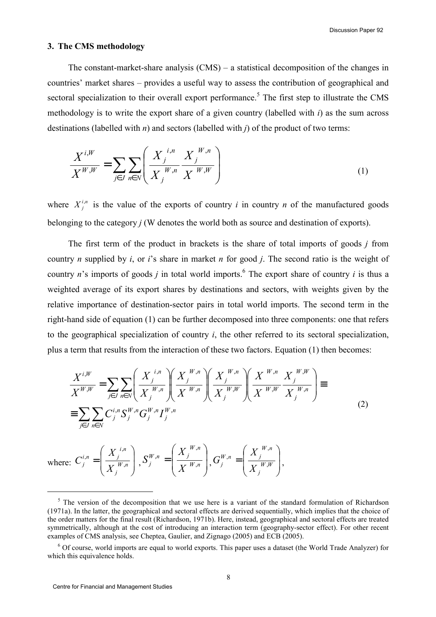#### 3. The CMS methodology

The constant-market-share analysis (CMS) – a statistical decomposition of the changes in countries' market shares – provides a useful way to assess the contribution of geographical and sectoral specialization to their overall export performance.<sup>5</sup> The first step to illustrate the CMS methodology is to write the export share of a given country (labelled with  $i$ ) as the sum across destinations (labelled with  $n$ ) and sectors (labelled with  $j$ ) of the product of two terms:

$$
\frac{X^{i,W}}{X^{W,W}} = \sum_{j \in J} \sum_{n \in N} \left( \frac{X_j^{i,n}}{X_j^{W,n}} \frac{X_j^{W,n}}{X^{W,W}} \right)
$$
(1)

where  $X_j^{i,n}$  is the value of the exports of country i in country n of the manufactured goods belonging to the category  $j$  (W denotes the world both as source and destination of exports).

The first term of the product in brackets is the share of total imports of goods  $j$  from country *n* supplied by *i*, or *i*'s share in market *n* for good *j*. The second ratio is the weight of country *n*'s imports of goods *j* in total world imports.<sup>6</sup> The export share of country *i* is thus a weighted average of its export shares by destinations and sectors, with weights given by the relative importance of destination-sector pairs in total world imports. The second term in the right-hand side of equation (1) can be further decomposed into three components: one that refers to the geographical specialization of country  $i$ , the other referred to its sectoral specialization, plus a term that results from the interaction of these two factors. Equation (1) then becomes:

$$
\frac{X^{i,W}}{X^{W,W}} = \sum_{j \in J} \sum_{n \in N} \left( \frac{X_j^{i,n}}{X_j^{W,n}} \right) \left( \frac{X_j^{W,n}}{X_j^{W,n}} \right) \left( \frac{X_j^{W,n}}{X_j^{W,W}} \right) \left( \frac{X^{W,n}}{X_j^{W,N}} \frac{X_j^{W,W}}{X_j^{W,n}} \right) \equiv \sum_{j \in J} \sum_{n \in N} C_j^{i,n} S_j^{W,n} G_j^{W,n} I_j^{W,n}
$$
\n(2)

where:  $C_j^{\pi} = \frac{1}{|X^{W,n}|}$  $\overline{\phantom{a}}$ J  $\backslash$  $\mathbf{I}$  $\mathbf{r}$  $\setminus$ ſ  $=\frac{1}{\mathbf{V}}\sum_{m=1}^{N}$ j i,n  $i, n \_$   $\begin{array}{c} \n\lambda \\ j \n\end{array}$  $\overline{y}$   $\overline{y}$   $\overline{X}$  $\chi$  $C_j^{i,n} = \frac{1}{\sqrt{W_i}}$ ,  $S_j^N = \left| \frac{X_j}{X^{W,n}} \right|, S_j^{W,n} = \left| \frac{Y_j}{X^{W,n}} \right|$  $\overline{\phantom{a}}$ J  $\backslash$  $\overline{\phantom{a}}$  $\mathbf{r}$  $\setminus$ ſ  $=\frac{y}{\sqrt{W}}$  $W, n$  $W, n$   $\begin{bmatrix} 1 & 1 \\ 1 & 1 \end{bmatrix}$  $\left\vert \begin{array}{c} I \end{array} \right\vert = \left\vert \begin{array}{c} X \end{array} \right\vert$  $\chi$  $S_j^{W,n} = \frac{J}{V_W}$ ,  $\sigma^{n} = \left[ \frac{X_j}{X^{W,n}} \right], G_j^{W,n} = \left[ \frac{X_j}{X^{W,N}} \right]$  $\overline{\phantom{a}}$ J  $\backslash$  $\mathsf{I}$  $\mathbf{r}$  $\setminus$ ſ  $=\frac{V}{\sqrt{W}}$ j  $W, n$  $W, n$   $\begin{bmatrix} 1 & 1 \\ 1 & j \end{bmatrix}$  $\left| \begin{array}{c} I \end{array} \right| X$  $\chi$  $G_j^{W,n} = \frac{1}{\sqrt{W}}$ ,  $\mu^{n} = \left[ \frac{X_j}{X_j} \right]_N$ 

l

<sup>&</sup>lt;sup>5</sup> The version of the decomposition that we use here is a variant of the standard formulation of Richardson (1971a). In the latter, the geographical and sectoral effects are derived sequentially, which implies that the choice of the order matters for the final result (Richardson, 1971b). Here, instead, geographical and sectoral effects are treated symmetrically, although at the cost of introducing an interaction term (geography-sector effect). For other recent examples of CMS analysis, see Cheptea, Gaulier, and Zignago (2005) and ECB (2005).

<sup>&</sup>lt;sup>6</sup> Of course, world imports are equal to world exports. This paper uses a dataset (the World Trade Analyzer) for which this equivalence holds.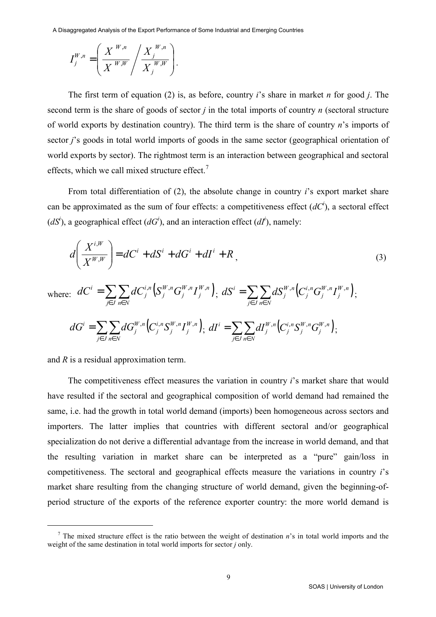A Disaggregated Analysis of the Export Performance of Some Industrial and Emerging Countries

$$
I_j^{W,n} = \left(\frac{X^{W,n}}{X^{W,W}} / \frac{X_j^{W,n}}{X_j^{W,W}}\right).
$$

The first term of equation (2) is, as before, country i's share in market n for good i. The second term is the share of goods of sector  $i$  in the total imports of country  $n$  (sectoral structure of world exports by destination country). The third term is the share of country  $n$ 's imports of sector *j*'s goods in total world imports of goods in the same sector (geographical orientation of world exports by sector). The rightmost term is an interaction between geographical and sectoral effects, which we call mixed structure effect.<sup>7</sup>

From total differentiation of (2), the absolute change in country i's export market share can be approximated as the sum of four effects: a competitiveness effect  $(dC^i)$ , a sectoral effect  $(dS<sup>i</sup>)$ , a geographical effect  $(dG<sup>i</sup>)$ , and an interaction effect  $(dI<sup>i</sup>)$ , namely:

$$
d\left(\frac{X^{i,W}}{X^{W,W}}\right) = dC^i + dS^i + dG^i + dI^i + R,
$$
\n(3)

where: 
$$
dC^{i} = \sum_{j \in J} \sum_{n \in N} dC^{i,n}_{j} \left( S^{W,n}_{j} G^{W,n}_{j} I^{W,n}_{j} \right); dS^{i} = \sum_{j \in J} \sum_{n \in N} dS^{W,n}_{j} \left( C^{i,n}_{j} G^{W,n}_{j} I^{W,n}_{j} \right);
$$

$$
dG^{i} = \sum_{j \in J} \sum_{n \in N} dG^{W,n}_{j} \left( C^{i,n}_{j} S^{W,n}_{j} I^{W,n}_{j} \right); dI^{i} = \sum_{j \in J} \sum_{n \in N} dI^{W,n}_{j} \left( C^{i,n}_{j} S^{W,n}_{j} G^{W,n}_{j} \right);
$$

and R is a residual approximation term.

j

The competitiveness effect measures the variation in country *i*'s market share that would have resulted if the sectoral and geographical composition of world demand had remained the same, i.e. had the growth in total world demand (imports) been homogeneous across sectors and importers. The latter implies that countries with different sectoral and/or geographical specialization do not derive a differential advantage from the increase in world demand, and that the resulting variation in market share can be interpreted as a "pure" gain/loss in competitiveness. The sectoral and geographical effects measure the variations in country i's market share resulting from the changing structure of world demand, given the beginning-ofperiod structure of the exports of the reference exporter country: the more world demand is

<sup>&</sup>lt;sup>7</sup> The mixed structure effect is the ratio between the weight of destination  $n$ 's in total world imports and the weight of the same destination in total world imports for sector *j* only.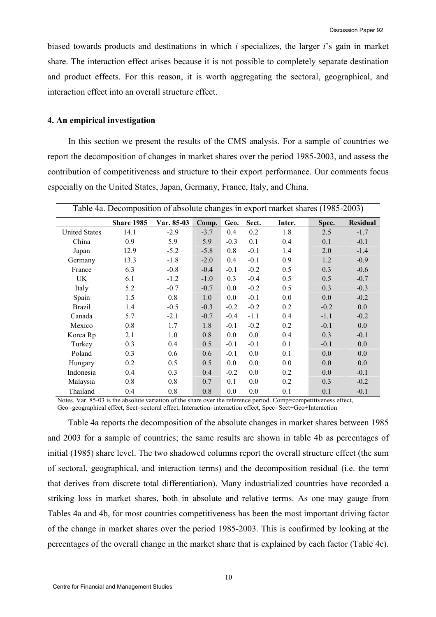biased towards products and destinations in which  $i$  specializes, the larger  $i$ 's gain in market share. The interaction effect arises because it is not possible to completely separate destination and product effects. For this reason, it is worth aggregating the sectoral, geographical, and interaction effect into an overall structure effect.

## 4. An empirical investigation

In this section we present the results of the CMS analysis. For a sample of countries we report the decomposition of changes in market shares over the period 1985-2003, and assess the contribution of competitiveness and structure to their export performance. Our comments focus especially on the United States, Japan, Germany, France, Italy, and China.

| Table 4a. Decomposition of absolute changes in export market shares (1985-2003) |                   |                   |        |         |        |        |        |                 |  |  |  |
|---------------------------------------------------------------------------------|-------------------|-------------------|--------|---------|--------|--------|--------|-----------------|--|--|--|
|                                                                                 | <b>Share 1985</b> | <b>Var. 85-03</b> | Comp.  | Geo.    | Sect.  | Inter. | Spec.  | <b>Residual</b> |  |  |  |
| <b>United States</b>                                                            | 14.1              | $-2.9$            | $-3.7$ | 0.4     | 0.2    | 1.8    | 2.5    | $-1.7$          |  |  |  |
| China                                                                           | 0.9               | 5.9               | 5.9    | $-0.3$  | 0.1    | 0.4    | 0.1    | $-0.1$          |  |  |  |
| Japan                                                                           | 12.9              | $-5.2$            | $-5.8$ | 0.8     | $-0.1$ | 1.4    | 2.0    | $-1.4$          |  |  |  |
| Germany                                                                         | 13.3              | $-1.8$            | $-2.0$ | 0.4     | $-0.1$ | 0.9    | 1.2    | $-0.9$          |  |  |  |
| France                                                                          | 6.3               | $-0.8$            | $-0.4$ | $-0.1$  | $-0.2$ | 0.5    | 0.3    | $-0.6$          |  |  |  |
| UK                                                                              | 6.1               | $-1.2$            | $-1.0$ | 0.3     | $-0.4$ | 0.5    | 0.5    | $-0.7$          |  |  |  |
| Italy                                                                           | 5.2               | $-0.7$            | $-0.7$ | 0.0     | $-0.2$ | 0.5    | 0.3    | $-0.3$          |  |  |  |
| Spain                                                                           | 1.5               | 0.8               | 1.0    | $0.0\,$ | $-0.1$ | 0.0    | 0.0    | $-0.2$          |  |  |  |
| <b>Brazil</b>                                                                   | 1.4               | $-0.5$            | $-0.3$ | $-0.2$  | $-0.2$ | 0.2    | $-0.2$ | 0.0             |  |  |  |
| Canada                                                                          | 5.7               | $-2.1$            | $-0.7$ | $-0.4$  | $-1.1$ | 0.4    | $-1.1$ | $-0.2$          |  |  |  |
| Mexico                                                                          | 0.8               | 1.7               | 1.8    | $-0.1$  | $-0.2$ | 0.2    | $-0.1$ | 0.0             |  |  |  |
| Korea Rp                                                                        | 2.1               | 1.0               | 0.8    | 0.0     | 0.0    | 0.4    | 0.3    | $-0.1$          |  |  |  |
| Turkey                                                                          | 0.3               | 0.4               | 0.5    | $-0.1$  | $-0.1$ | 0.1    | $-0.1$ | 0.0             |  |  |  |
| Poland                                                                          | 0.3               | 0.6               | 0.6    | $-0.1$  | 0.0    | 0.1    | 0.0    | 0.0             |  |  |  |
| Hungary                                                                         | 0.2               | 0.5               | 0.5    | 0.0     | 0.0    | 0.0    | 0.0    | 0.0             |  |  |  |
| Indonesia                                                                       | 0.4               | 0.3               | 0.4    | $-0.2$  | 0.0    | 0.2    | 0.0    | $-0.1$          |  |  |  |
| Malaysia                                                                        | 0.8               | 0.8               | 0.7    | 0.1     | 0.0    | 0.2    | 0.3    | $-0.2$          |  |  |  |
| Thailand                                                                        | 0.4               | 0.8               | 0.8    | 0.0     | 0.0    | 0.1    | 0.1    | $-0.1$          |  |  |  |

Notes. Var. 85-03 is the absolute variation of the share over the reference period. Comp=competitiveness effect, Geo=geographical effect, Sect=sectoral effect, Interaction=interaction effect, Spec=Sect+Geo+Interaction

Table 4a reports the decomposition of the absolute changes in market shares between 1985 and 2003 for a sample of countries; the same results are shown in table 4b as percentages of initial (1985) share level. The two shadowed columns report the overall structure effect (the sum of sectoral, geographical, and interaction terms) and the decomposition residual (i.e. the term that derives from discrete total differentiation). Many industrialized countries have recorded a striking loss in market shares, both in absolute and relative terms. As one may gauge from Tables 4a and 4b, for most countries competitiveness has been the most important driving factor of the change in market shares over the period 1985-2003. This is confirmed by looking at the percentages of the overall change in the market share that is explained by each factor (Table 4c).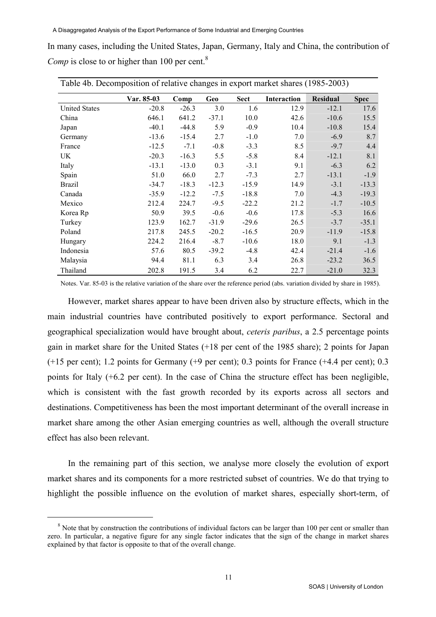|  | In many cases, including the United States, Japan, Germany, Italy and China, the contribution of |  |  |  |  |
|--|--------------------------------------------------------------------------------------------------|--|--|--|--|
|  | Comp is close to or higher than 100 per cent. <sup>8</sup>                                       |  |  |  |  |

| Table 4b. Decomposition of relative changes in export market shares (1985-2003) |                   |         |         |             |             |          |             |  |  |  |  |  |
|---------------------------------------------------------------------------------|-------------------|---------|---------|-------------|-------------|----------|-------------|--|--|--|--|--|
|                                                                                 | <b>Var. 85-03</b> | Comp    | Geo     | <b>Sect</b> | Interaction | Residual | <b>Spec</b> |  |  |  |  |  |
| <b>United States</b>                                                            | $-20.8$           | $-26.3$ | 3.0     | 1.6         | 12.9        | $-12.1$  | 17.6        |  |  |  |  |  |
| China                                                                           | 646.1             | 641.2   | $-37.1$ | 10.0        | 42.6        | $-10.6$  | 15.5        |  |  |  |  |  |
| Japan                                                                           | $-40.1$           | $-44.8$ | 5.9     | $-0.9$      | 10.4        | $-10.8$  | 15.4        |  |  |  |  |  |
| Germany                                                                         | $-13.6$           | $-15.4$ | 2.7     | $-1.0$      | 7.0         | $-6.9$   | 8.7         |  |  |  |  |  |
| France                                                                          | $-12.5$           | $-7.1$  | $-0.8$  | $-3.3$      | 8.5         | $-9.7$   | 4.4         |  |  |  |  |  |
| UK                                                                              | $-20.3$           | $-16.3$ | 5.5     | $-5.8$      | 8.4         | $-12.1$  | 8.1         |  |  |  |  |  |
| Italy                                                                           | $-13.1$           | $-13.0$ | 0.3     | $-3.1$      | 9.1         | $-6.3$   | 6.2         |  |  |  |  |  |
| Spain                                                                           | 51.0              | 66.0    | 2.7     | $-7.3$      | 2.7         | $-13.1$  | $-1.9$      |  |  |  |  |  |
| <b>Brazil</b>                                                                   | $-34.7$           | $-18.3$ | $-12.3$ | $-15.9$     | 14.9        | $-3.1$   | $-13.3$     |  |  |  |  |  |
| Canada                                                                          | $-35.9$           | $-12.2$ | $-7.5$  | $-18.8$     | 7.0         | $-4.3$   | $-19.3$     |  |  |  |  |  |
| Mexico                                                                          | 212.4             | 224.7   | $-9.5$  | $-22.2$     | 21.2        | $-1.7$   | $-10.5$     |  |  |  |  |  |
| Korea Rp                                                                        | 50.9              | 39.5    | $-0.6$  | $-0.6$      | 17.8        | $-5.3$   | 16.6        |  |  |  |  |  |
| Turkey                                                                          | 123.9             | 162.7   | $-31.9$ | $-29.6$     | 26.5        | $-3.7$   | $-35.1$     |  |  |  |  |  |
| Poland                                                                          | 217.8             | 245.5   | $-20.2$ | $-16.5$     | 20.9        | $-11.9$  | $-15.8$     |  |  |  |  |  |
| Hungary                                                                         | 224.2             | 216.4   | $-8.7$  | $-10.6$     | 18.0        | 9.1      | $-1.3$      |  |  |  |  |  |
| Indonesia                                                                       | 57.6              | 80.5    | $-39.2$ | $-4.8$      | 42.4        | $-21.4$  | $-1.6$      |  |  |  |  |  |
| Malaysia                                                                        | 94.4              | 81.1    | 6.3     | 3.4         | 26.8        | $-23.2$  | 36.5        |  |  |  |  |  |
| Thailand                                                                        | 202.8             | 191.5   | 3.4     | 6.2         | 22.7        | $-21.0$  | 32.3        |  |  |  |  |  |

Notes. Var. 85-03 is the relative variation of the share over the reference period (abs. variation divided by share in 1985).

However, market shares appear to have been driven also by structure effects, which in the main industrial countries have contributed positively to export performance. Sectoral and geographical specialization would have brought about, ceteris paribus, a 2.5 percentage points gain in market share for the United States (+18 per cent of the 1985 share); 2 points for Japan (+15 per cent); 1.2 points for Germany (+9 per cent); 0.3 points for France (+4.4 per cent); 0.3 points for Italy (+6.2 per cent). In the case of China the structure effect has been negligible, which is consistent with the fast growth recorded by its exports across all sectors and destinations. Competitiveness has been the most important determinant of the overall increase in market share among the other Asian emerging countries as well, although the overall structure effect has also been relevant.

In the remaining part of this section, we analyse more closely the evolution of export market shares and its components for a more restricted subset of countries. We do that trying to highlight the possible influence on the evolution of market shares, especially short-term, of

j

<sup>&</sup>lt;sup>8</sup> Note that by construction the contributions of individual factors can be larger than 100 per cent or smaller than zero. In particular, a negative figure for any single factor indicates that the sign of the change in market shares explained by that factor is opposite to that of the overall change.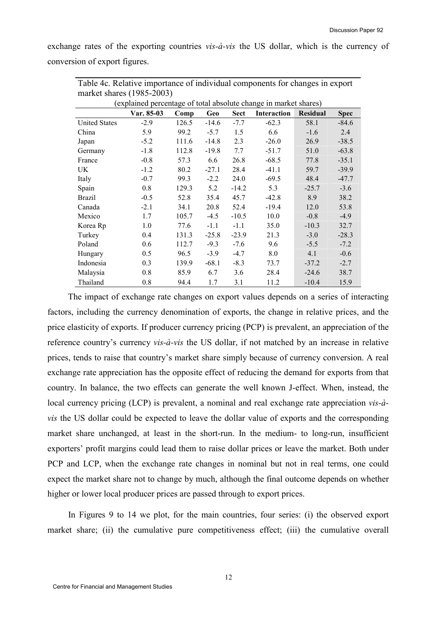exchange rates of the exporting countries *vis-à-vis* the US dollar, which is the currency of conversion of export figures.

| $m$ alket snares (1980-2000)                                     |            |       |         |             |             |                 |             |  |  |  |  |  |
|------------------------------------------------------------------|------------|-------|---------|-------------|-------------|-----------------|-------------|--|--|--|--|--|
| (explained percentage of total absolute change in market shares) |            |       |         |             |             |                 |             |  |  |  |  |  |
|                                                                  | Var. 85-03 | Comp  | Geo     | <b>Sect</b> | Interaction | <b>Residual</b> | <b>Spec</b> |  |  |  |  |  |
| <b>United States</b>                                             | $-2.9$     | 126.5 | $-14.6$ | $-7.7$      | $-62.3$     | 58.1            | $-84.6$     |  |  |  |  |  |
| China                                                            | 5.9        | 99.2  | $-5.7$  | 1.5         | 6.6         | $-1.6$          | 2.4         |  |  |  |  |  |
| Japan                                                            | $-5.2$     | 111.6 | $-14.8$ | 2.3         | $-26.0$     | 26.9            | $-38.5$     |  |  |  |  |  |
| Germany                                                          | $-1.8$     | 112.8 | $-19.8$ | 7.7         | $-51.7$     | 51.0            | $-63.8$     |  |  |  |  |  |
| France                                                           | $-0.8$     | 57.3  | 6.6     | 26.8        | $-68.5$     | 77.8            | $-35.1$     |  |  |  |  |  |
| UK                                                               | $-1.2$     | 80.2  | $-27.1$ | 28.4        | $-41.1$     | 59.7            | $-39.9$     |  |  |  |  |  |
| Italy                                                            | $-0.7$     | 99.3  | $-2.2$  | 24.0        | $-69.5$     | 48.4            | $-47.7$     |  |  |  |  |  |
| Spain                                                            | 0.8        | 129.3 | 5.2     | $-14.2$     | 5.3         | $-25.7$         | $-3.6$      |  |  |  |  |  |
| <b>Brazil</b>                                                    | $-0.5$     | 52.8  | 35.4    | 45.7        | $-42.8$     | 8.9             | 38.2        |  |  |  |  |  |
| Canada                                                           | $-2.1$     | 34.1  | 20.8    | 52.4        | $-19.4$     | 12.0            | 53.8        |  |  |  |  |  |
| Mexico                                                           | 1.7        | 105.7 | $-4.5$  | $-10.5$     | 10.0        | $-0.8$          | $-4.9$      |  |  |  |  |  |
| Korea Rp                                                         | 1.0        | 77.6  | $-1.1$  | $-1.1$      | 35.0        | $-10.3$         | 32.7        |  |  |  |  |  |
| Turkey                                                           | 0.4        | 131.3 | $-25.8$ | $-23.9$     | 21.3        | $-3.0$          | $-28.3$     |  |  |  |  |  |
| Poland                                                           | 0.6        | 112.7 | $-9.3$  | $-7.6$      | 9.6         | $-5.5$          | $-7.2$      |  |  |  |  |  |
| Hungary                                                          | 0.5        | 96.5  | $-3.9$  | $-4.7$      | 8.0         | 4.1             | $-0.6$      |  |  |  |  |  |
| Indonesia                                                        | 0.3        | 139.9 | $-68.1$ | $-8.3$      | 73.7        | $-37.2$         | $-2.7$      |  |  |  |  |  |
| Malaysia                                                         | 0.8        | 85.9  | 6.7     | 3.6         | 28.4        | $-24.6$         | 38.7        |  |  |  |  |  |
| Thailand                                                         | 0.8        | 94.4  | 1.7     | 3.1         | 11.2        | $-10.4$         | 15.9        |  |  |  |  |  |

Table 4c. Relative importance of individual components for changes in export market shares  $(1095, 2003)$ 

The impact of exchange rate changes on export values depends on a series of interacting factors, including the currency denomination of exports, the change in relative prices, and the price elasticity of exports. If producer currency pricing (PCP) is prevalent, an appreciation of the reference country's currency vis-à-vis the US dollar, if not matched by an increase in relative prices, tends to raise that country's market share simply because of currency conversion. A real exchange rate appreciation has the opposite effect of reducing the demand for exports from that country. In balance, the two effects can generate the well known J-effect. When, instead, the local currency pricing (LCP) is prevalent, a nominal and real exchange rate appreciation vis-àvis the US dollar could be expected to leave the dollar value of exports and the corresponding market share unchanged, at least in the short-run. In the medium- to long-run, insufficient exporters' profit margins could lead them to raise dollar prices or leave the market. Both under PCP and LCP, when the exchange rate changes in nominal but not in real terms, one could expect the market share not to change by much, although the final outcome depends on whether higher or lower local producer prices are passed through to export prices.

In Figures 9 to 14 we plot, for the main countries, four series: (i) the observed export market share; (ii) the cumulative pure competitiveness effect; (iii) the cumulative overall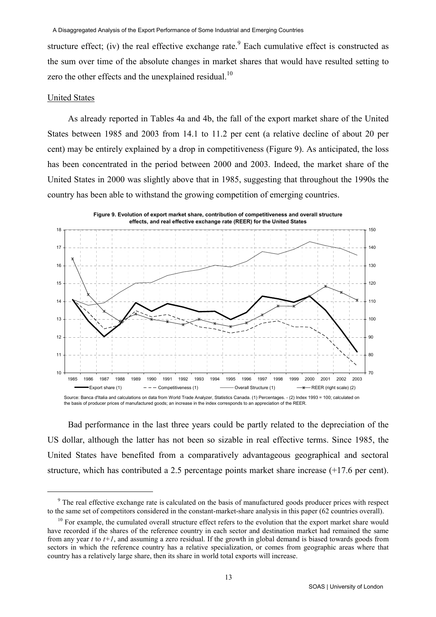structure effect; (iv) the real effective exchange rate.<sup>9</sup> Each cumulative effect is constructed as the sum over time of the absolute changes in market shares that would have resulted setting to zero the other effects and the unexplained residual.<sup>10</sup>

#### United States

l

As already reported in Tables 4a and 4b, the fall of the export market share of the United States between 1985 and 2003 from 14.1 to 11.2 per cent (a relative decline of about 20 per cent) may be entirely explained by a drop in competitiveness (Figure 9). As anticipated, the loss has been concentrated in the period between 2000 and 2003. Indeed, the market share of the United States in 2000 was slightly above that in 1985, suggesting that throughout the 1990s the country has been able to withstand the growing competition of emerging countries.



Bad performance in the last three years could be partly related to the depreciation of the US dollar, although the latter has not been so sizable in real effective terms. Since 1985, the United States have benefited from a comparatively advantageous geographical and sectoral structure, which has contributed a 2.5 percentage points market share increase (+17.6 per cent).

<sup>&</sup>lt;sup>9</sup> The real effective exchange rate is calculated on the basis of manufactured goods producer prices with respect to the same set of competitors considered in the constant-market-share analysis in this paper (62 countries overall).

<sup>&</sup>lt;sup>10</sup> For example, the cumulated overall structure effect refers to the evolution that the export market share would have recorded if the shares of the reference country in each sector and destination market had remained the same from any year t to  $t+1$ , and assuming a zero residual. If the growth in global demand is biased towards goods from sectors in which the reference country has a relative specialization, or comes from geographic areas where that country has a relatively large share, then its share in world total exports will increase.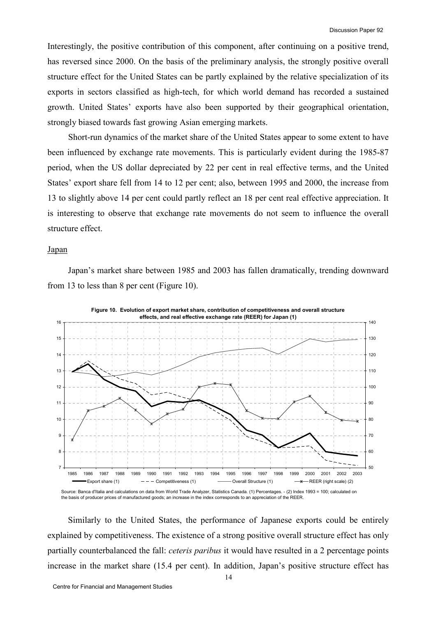Interestingly, the positive contribution of this component, after continuing on a positive trend, has reversed since 2000. On the basis of the preliminary analysis, the strongly positive overall structure effect for the United States can be partly explained by the relative specialization of its exports in sectors classified as high-tech, for which world demand has recorded a sustained growth. United States' exports have also been supported by their geographical orientation, strongly biased towards fast growing Asian emerging markets.

Short-run dynamics of the market share of the United States appear to some extent to have been influenced by exchange rate movements. This is particularly evident during the 1985-87 period, when the US dollar depreciated by 22 per cent in real effective terms, and the United States' export share fell from 14 to 12 per cent; also, between 1995 and 2000, the increase from 13 to slightly above 14 per cent could partly reflect an 18 per cent real effective appreciation. It is interesting to observe that exchange rate movements do not seem to influence the overall structure effect.

#### Japan

Japan's market share between 1985 and 2003 has fallen dramatically, trending downward from 13 to less than 8 per cent (Figure 10).



the basis of producer prices of manufactured goods; an increase in the index corresponds to an appreciation of the REER.

Similarly to the United States, the performance of Japanese exports could be entirely explained by competitiveness. The existence of a strong positive overall structure effect has only partially counterbalanced the fall: *ceteris paribus* it would have resulted in a 2 percentage points increase in the market share (15.4 per cent). In addition, Japan's positive structure effect has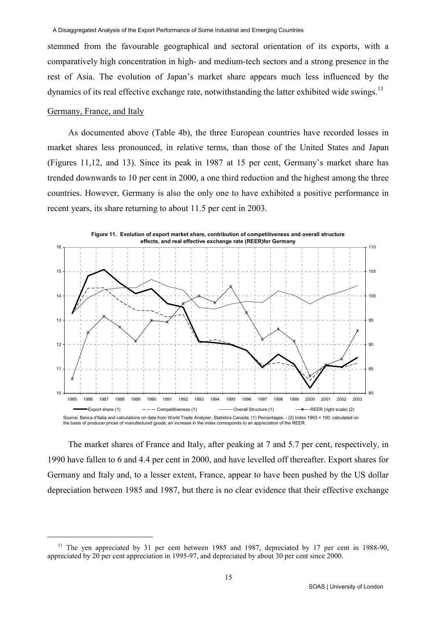stemmed from the favourable geographical and sectoral orientation of its exports, with a comparatively high concentration in high- and medium-tech sectors and a strong presence in the rest of Asia. The evolution of Japan's market share appears much less influenced by the dynamics of its real effective exchange rate, notwithstanding the latter exhibited wide swings.<sup>11</sup>

### Germany, France, and Italy

l

As documented above (Table 4b), the three European countries have recorded losses in market shares less pronounced, in relative terms, than those of the United States and Japan (Figures 11,12, and 13). Since its peak in 1987 at 15 per cent, Germany's market share has trended downwards to 10 per cent in 2000, a one third reduction and the highest among the three countries. However, Germany is also the only one to have exhibited a positive performance in recent years, its share returning to about 11.5 per cent in 2003.



The market shares of France and Italy, after peaking at 7 and 5.7 per cent, respectively, in 1990 have fallen to 6 and 4.4 per cent in 2000, and have levelled off thereafter. Export shares for Germany and Italy and, to a lesser extent, France, appear to have been pushed by the US dollar depreciation between 1985 and 1987, but there is no clear evidence that their effective exchange

<sup>&</sup>lt;sup>11</sup> The yen appreciated by 31 per cent between 1985 and 1987, depreciated by 17 per cent in 1988-90, appreciated by 20 per cent appreciation in 1995-97, and depreciated by about 30 per cent since 2000.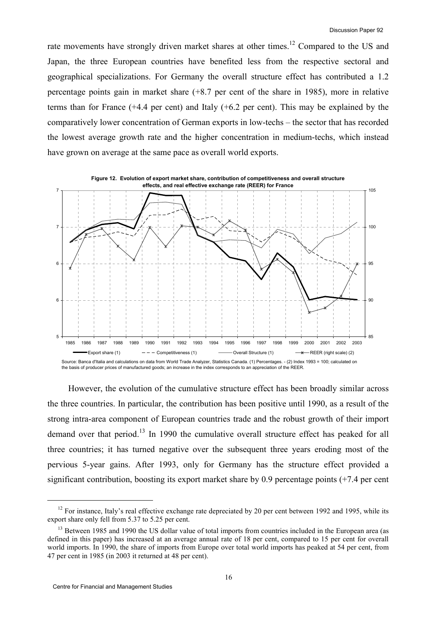rate movements have strongly driven market shares at other times.<sup>12</sup> Compared to the US and Japan, the three European countries have benefited less from the respective sectoral and geographical specializations. For Germany the overall structure effect has contributed a 1.2 percentage points gain in market share (+8.7 per cent of the share in 1985), more in relative terms than for France (+4.4 per cent) and Italy (+6.2 per cent). This may be explained by the comparatively lower concentration of German exports in low-techs – the sector that has recorded the lowest average growth rate and the higher concentration in medium-techs, which instead have grown on average at the same pace as overall world exports.



However, the evolution of the cumulative structure effect has been broadly similar across the three countries. In particular, the contribution has been positive until 1990, as a result of the strong intra-area component of European countries trade and the robust growth of their import demand over that period.<sup>13</sup> In 1990 the cumulative overall structure effect has peaked for all three countries; it has turned negative over the subsequent three years eroding most of the pervious 5-year gains. After 1993, only for Germany has the structure effect provided a significant contribution, boosting its export market share by 0.9 percentage points (+7.4 per cent

-

 $12$  For instance, Italy's real effective exchange rate depreciated by 20 per cent between 1992 and 1995, while its export share only fell from 5.37 to 5.25 per cent.

<sup>&</sup>lt;sup>13</sup> Between 1985 and 1990 the US dollar value of total imports from countries included in the European area (as defined in this paper) has increased at an average annual rate of 18 per cent, compared to 15 per cent for overall world imports. In 1990, the share of imports from Europe over total world imports has peaked at 54 per cent, from 47 per cent in 1985 (in 2003 it returned at 48 per cent).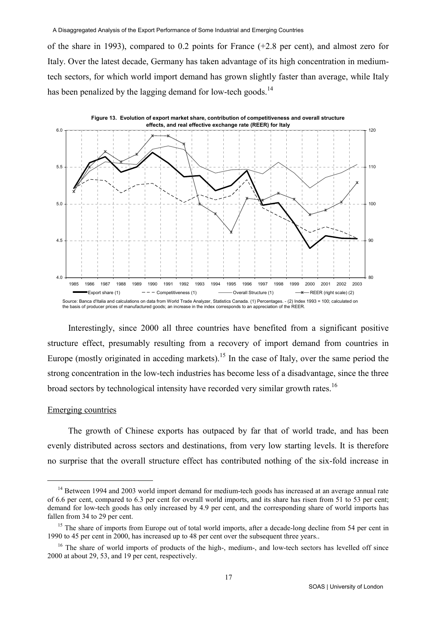of the share in 1993), compared to 0.2 points for France (+2.8 per cent), and almost zero for Italy. Over the latest decade, Germany has taken advantage of its high concentration in mediumtech sectors, for which world import demand has grown slightly faster than average, while Italy has been penalized by the lagging demand for low-tech goods.<sup>14</sup>



Interestingly, since 2000 all three countries have benefited from a significant positive structure effect, presumably resulting from a recovery of import demand from countries in Europe (mostly originated in acceding markets).<sup>15</sup> In the case of Italy, over the same period the strong concentration in the low-tech industries has become less of a disadvantage, since the three broad sectors by technological intensity have recorded very similar growth rates.<sup>16</sup>

#### Emerging countries

-

The growth of Chinese exports has outpaced by far that of world trade, and has been evenly distributed across sectors and destinations, from very low starting levels. It is therefore no surprise that the overall structure effect has contributed nothing of the six-fold increase in

<sup>&</sup>lt;sup>14</sup> Between 1994 and 2003 world import demand for medium-tech goods has increased at an average annual rate of 6.6 per cent, compared to 6.3 per cent for overall world imports, and its share has risen from 51 to 53 per cent; demand for low-tech goods has only increased by 4.9 per cent, and the corresponding share of world imports has fallen from 34 to 29 per cent.

<sup>&</sup>lt;sup>15</sup> The share of imports from Europe out of total world imports, after a decade-long decline from 54 per cent in 1990 to 45 per cent in 2000, has increased up to 48 per cent over the subsequent three years..

<sup>&</sup>lt;sup>16</sup> The share of world imports of products of the high-, medium-, and low-tech sectors has levelled off since 2000 at about 29, 53, and 19 per cent, respectively.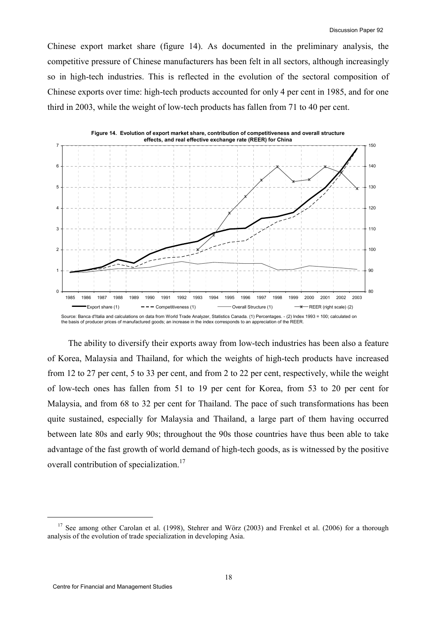Chinese export market share (figure 14). As documented in the preliminary analysis, the competitive pressure of Chinese manufacturers has been felt in all sectors, although increasingly so in high-tech industries. This is reflected in the evolution of the sectoral composition of Chinese exports over time: high-tech products accounted for only 4 per cent in 1985, and for one third in 2003, while the weight of low-tech products has fallen from 71 to 40 per cent.



The ability to diversify their exports away from low-tech industries has been also a feature of Korea, Malaysia and Thailand, for which the weights of high-tech products have increased from 12 to 27 per cent, 5 to 33 per cent, and from 2 to 22 per cent, respectively, while the weight of low-tech ones has fallen from 51 to 19 per cent for Korea, from 53 to 20 per cent for Malaysia, and from 68 to 32 per cent for Thailand. The pace of such transformations has been quite sustained, especially for Malaysia and Thailand, a large part of them having occurred between late 80s and early 90s; throughout the 90s those countries have thus been able to take advantage of the fast growth of world demand of high-tech goods, as is witnessed by the positive overall contribution of specialization.<sup>17</sup>

j

<sup>&</sup>lt;sup>17</sup> See among other Carolan et al. (1998), Stehrer and Wörz (2003) and Frenkel et al. (2006) for a thorough analysis of the evolution of trade specialization in developing Asia.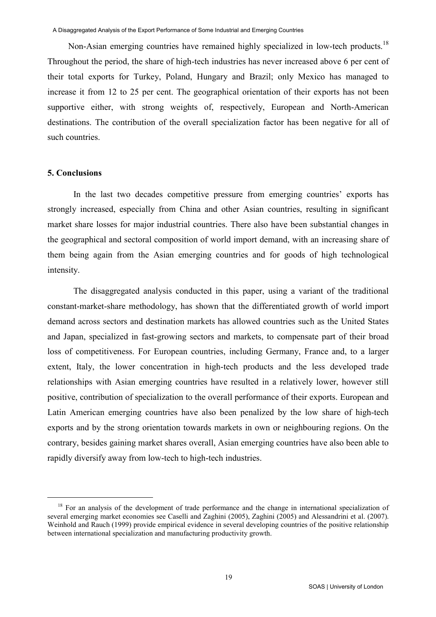Non-Asian emerging countries have remained highly specialized in low-tech products.<sup>18</sup> Throughout the period, the share of high-tech industries has never increased above 6 per cent of their total exports for Turkey, Poland, Hungary and Brazil; only Mexico has managed to increase it from 12 to 25 per cent. The geographical orientation of their exports has not been supportive either, with strong weights of, respectively, European and North-American destinations. The contribution of the overall specialization factor has been negative for all of such countries.

## 5. Conclusions

j

In the last two decades competitive pressure from emerging countries' exports has strongly increased, especially from China and other Asian countries, resulting in significant market share losses for major industrial countries. There also have been substantial changes in the geographical and sectoral composition of world import demand, with an increasing share of them being again from the Asian emerging countries and for goods of high technological intensity.

The disaggregated analysis conducted in this paper, using a variant of the traditional constant-market-share methodology, has shown that the differentiated growth of world import demand across sectors and destination markets has allowed countries such as the United States and Japan, specialized in fast-growing sectors and markets, to compensate part of their broad loss of competitiveness. For European countries, including Germany, France and, to a larger extent, Italy, the lower concentration in high-tech products and the less developed trade relationships with Asian emerging countries have resulted in a relatively lower, however still positive, contribution of specialization to the overall performance of their exports. European and Latin American emerging countries have also been penalized by the low share of high-tech exports and by the strong orientation towards markets in own or neighbouring regions. On the contrary, besides gaining market shares overall, Asian emerging countries have also been able to rapidly diversify away from low-tech to high-tech industries.

<sup>&</sup>lt;sup>18</sup> For an analysis of the development of trade performance and the change in international specialization of several emerging market economies see Caselli and Zaghini (2005), Zaghini (2005) and Alessandrini et al. (2007). Weinhold and Rauch (1999) provide empirical evidence in several developing countries of the positive relationship between international specialization and manufacturing productivity growth.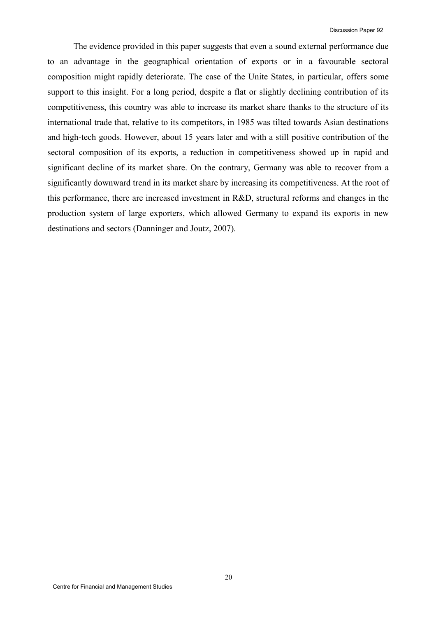The evidence provided in this paper suggests that even a sound external performance due to an advantage in the geographical orientation of exports or in a favourable sectoral composition might rapidly deteriorate. The case of the Unite States, in particular, offers some support to this insight. For a long period, despite a flat or slightly declining contribution of its competitiveness, this country was able to increase its market share thanks to the structure of its international trade that, relative to its competitors, in 1985 was tilted towards Asian destinations and high-tech goods. However, about 15 years later and with a still positive contribution of the sectoral composition of its exports, a reduction in competitiveness showed up in rapid and significant decline of its market share. On the contrary, Germany was able to recover from a significantly downward trend in its market share by increasing its competitiveness. At the root of this performance, there are increased investment in R&D, structural reforms and changes in the production system of large exporters, which allowed Germany to expand its exports in new destinations and sectors (Danninger and Joutz, 2007).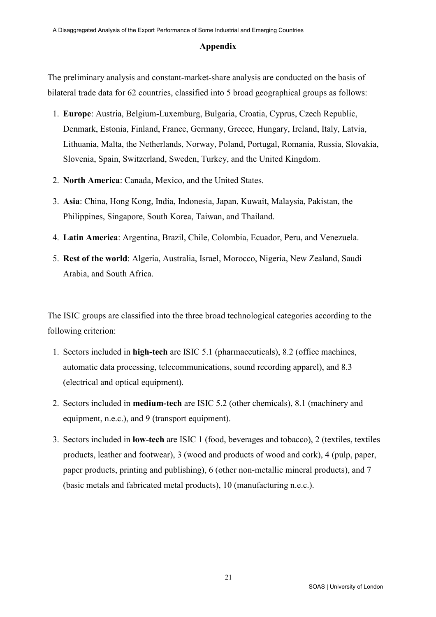## Appendix

The preliminary analysis and constant-market-share analysis are conducted on the basis of bilateral trade data for 62 countries, classified into 5 broad geographical groups as follows:

- 1. Europe: Austria, Belgium-Luxemburg, Bulgaria, Croatia, Cyprus, Czech Republic, Denmark, Estonia, Finland, France, Germany, Greece, Hungary, Ireland, Italy, Latvia, Lithuania, Malta, the Netherlands, Norway, Poland, Portugal, Romania, Russia, Slovakia, Slovenia, Spain, Switzerland, Sweden, Turkey, and the United Kingdom.
- 2. North America: Canada, Mexico, and the United States.
- 3. Asia: China, Hong Kong, India, Indonesia, Japan, Kuwait, Malaysia, Pakistan, the Philippines, Singapore, South Korea, Taiwan, and Thailand.
- 4. Latin America: Argentina, Brazil, Chile, Colombia, Ecuador, Peru, and Venezuela.
- 5. Rest of the world: Algeria, Australia, Israel, Morocco, Nigeria, New Zealand, Saudi Arabia, and South Africa.

The ISIC groups are classified into the three broad technological categories according to the following criterion:

- 1. Sectors included in high-tech are ISIC 5.1 (pharmaceuticals), 8.2 (office machines, automatic data processing, telecommunications, sound recording apparel), and 8.3 (electrical and optical equipment).
- 2. Sectors included in medium-tech are ISIC 5.2 (other chemicals), 8.1 (machinery and equipment, n.e.c.), and 9 (transport equipment).
- 3. Sectors included in low-tech are ISIC 1 (food, beverages and tobacco), 2 (textiles, textiles products, leather and footwear), 3 (wood and products of wood and cork), 4 (pulp, paper, paper products, printing and publishing), 6 (other non-metallic mineral products), and 7 (basic metals and fabricated metal products), 10 (manufacturing n.e.c.).